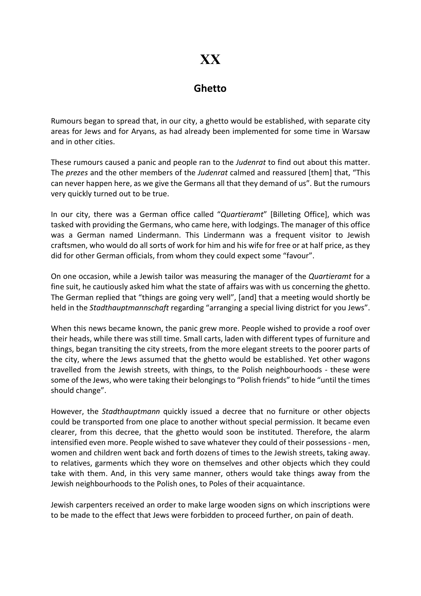## XX

## Ghetto

Rumours began to spread that, in our city, a ghetto would be established, with separate city areas for Jews and for Aryans, as had already been implemented for some time in Warsaw and in other cities.

These rumours caused a panic and people ran to the Judenrat to find out about this matter. The prezes and the other members of the Judenrat calmed and reassured [them] that, "This can never happen here, as we give the Germans all that they demand of us". But the rumours very quickly turned out to be true.

In our city, there was a German office called "Quartieramt" [Billeting Office], which was tasked with providing the Germans, who came here, with lodgings. The manager of this office was a German named Lindermann. This Lindermann was a frequent visitor to Jewish craftsmen, who would do all sorts of work for him and his wife for free or at half price, as they did for other German officials, from whom they could expect some "favour".

On one occasion, while a Jewish tailor was measuring the manager of the Quartieramt for a fine suit, he cautiously asked him what the state of affairs was with us concerning the ghetto. The German replied that "things are going very well", [and] that a meeting would shortly be held in the Stadthauptmannschaft regarding "arranging a special living district for you Jews".

When this news became known, the panic grew more. People wished to provide a roof over their heads, while there was still time. Small carts, laden with different types of furniture and things, began transiting the city streets, from the more elegant streets to the poorer parts of the city, where the Jews assumed that the ghetto would be established. Yet other wagons travelled from the Jewish streets, with things, to the Polish neighbourhoods - these were some of the Jews, who were taking their belongings to "Polish friends" to hide "until the times should change".

However, the *Stadthauptmann* quickly issued a decree that no furniture or other objects could be transported from one place to another without special permission. It became even clearer, from this decree, that the ghetto would soon be instituted. Therefore, the alarm intensified even more. People wished to save whatever they could of their possessions - men, women and children went back and forth dozens of times to the Jewish streets, taking away. to relatives, garments which they wore on themselves and other objects which they could take with them. And, in this very same manner, others would take things away from the Jewish neighbourhoods to the Polish ones, to Poles of their acquaintance.

Jewish carpenters received an order to make large wooden signs on which inscriptions were to be made to the effect that Jews were forbidden to proceed further, on pain of death.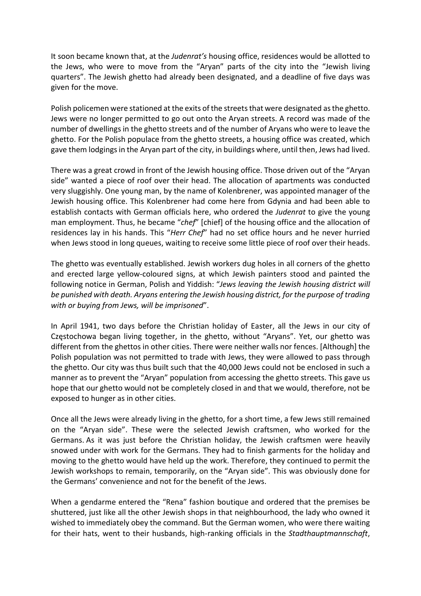It soon became known that, at the Judenrat's housing office, residences would be allotted to the Jews, who were to move from the "Aryan" parts of the city into the "Jewish living quarters". The Jewish ghetto had already been designated, and a deadline of five days was given for the move.

Polish policemen were stationed at the exits of the streets that were designated as the ghetto. Jews were no longer permitted to go out onto the Aryan streets. A record was made of the number of dwellings in the ghetto streets and of the number of Aryans who were to leave the ghetto. For the Polish populace from the ghetto streets, a housing office was created, which gave them lodgings in the Aryan part of the city, in buildings where, until then, Jews had lived.

There was a great crowd in front of the Jewish housing office. Those driven out of the "Aryan side" wanted a piece of roof over their head. The allocation of apartments was conducted very sluggishly. One young man, by the name of Kolenbrener, was appointed manager of the Jewish housing office. This Kolenbrener had come here from Gdynia and had been able to establish contacts with German officials here, who ordered the *Judenrat* to give the young man employment. Thus, he became "chef" [chief] of the housing office and the allocation of residences lay in his hands. This "Herr Chef" had no set office hours and he never hurried when Jews stood in long queues, waiting to receive some little piece of roof over their heads.

The ghetto was eventually established. Jewish workers dug holes in all corners of the ghetto and erected large yellow-coloured signs, at which Jewish painters stood and painted the following notice in German, Polish and Yiddish: "Jews leaving the Jewish housing district will be punished with death. Aryans entering the Jewish housing district, for the purpose of trading with or buying from Jews, will be imprisoned".

In April 1941, two days before the Christian holiday of Easter, all the Jews in our city of Częstochowa began living together, in the ghetto, without "Aryans". Yet, our ghetto was different from the ghettos in other cities. There were neither walls nor fences. [Although] the Polish population was not permitted to trade with Jews, they were allowed to pass through the ghetto. Our city was thus built such that the 40,000 Jews could not be enclosed in such a manner as to prevent the "Aryan" population from accessing the ghetto streets. This gave us hope that our ghetto would not be completely closed in and that we would, therefore, not be exposed to hunger as in other cities.

Once all the Jews were already living in the ghetto, for a short time, a few Jews still remained on the "Aryan side". These were the selected Jewish craftsmen, who worked for the Germans. As it was just before the Christian holiday, the Jewish craftsmen were heavily snowed under with work for the Germans. They had to finish garments for the holiday and moving to the ghetto would have held up the work. Therefore, they continued to permit the Jewish workshops to remain, temporarily, on the "Aryan side". This was obviously done for the Germans' convenience and not for the benefit of the Jews.

When a gendarme entered the "Rena" fashion boutique and ordered that the premises be shuttered, just like all the other Jewish shops in that neighbourhood, the lady who owned it wished to immediately obey the command. But the German women, who were there waiting for their hats, went to their husbands, high-ranking officials in the Stadthauptmannschaft,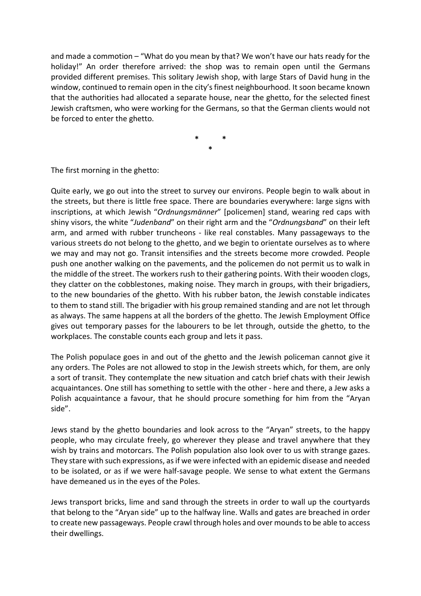and made a commotion – "What do you mean by that? We won't have our hats ready for the holiday!" An order therefore arrived: the shop was to remain open until the Germans provided different premises. This solitary Jewish shop, with large Stars of David hung in the window, continued to remain open in the city's finest neighbourhood. It soon became known that the authorities had allocated a separate house, near the ghetto, for the selected finest Jewish craftsmen, who were working for the Germans, so that the German clients would not be forced to enter the ghetto.

> \* \* \*

The first morning in the ghetto:

Quite early, we go out into the street to survey our environs. People begin to walk about in the streets, but there is little free space. There are boundaries everywhere: large signs with inscriptions, at which Jewish "Ordnungsmänner" [policemen] stand, wearing red caps with shiny visors, the white "Judenband" on their right arm and the "Ordnungsband" on their left arm, and armed with rubber truncheons - like real constables. Many passageways to the various streets do not belong to the ghetto, and we begin to orientate ourselves as to where we may and may not go. Transit intensifies and the streets become more crowded. People push one another walking on the pavements, and the policemen do not permit us to walk in the middle of the street. The workers rush to their gathering points. With their wooden clogs, they clatter on the cobblestones, making noise. They march in groups, with their brigadiers, to the new boundaries of the ghetto. With his rubber baton, the Jewish constable indicates to them to stand still. The brigadier with his group remained standing and are not let through as always. The same happens at all the borders of the ghetto. The Jewish Employment Office gives out temporary passes for the labourers to be let through, outside the ghetto, to the workplaces. The constable counts each group and lets it pass.

The Polish populace goes in and out of the ghetto and the Jewish policeman cannot give it any orders. The Poles are not allowed to stop in the Jewish streets which, for them, are only a sort of transit. They contemplate the new situation and catch brief chats with their Jewish acquaintances. One still has something to settle with the other - here and there, a Jew asks a Polish acquaintance a favour, that he should procure something for him from the "Aryan side".

Jews stand by the ghetto boundaries and look across to the "Aryan" streets, to the happy people, who may circulate freely, go wherever they please and travel anywhere that they wish by trains and motorcars. The Polish population also look over to us with strange gazes. They stare with such expressions, as if we were infected with an epidemic disease and needed to be isolated, or as if we were half-savage people. We sense to what extent the Germans have demeaned us in the eyes of the Poles.

Jews transport bricks, lime and sand through the streets in order to wall up the courtyards that belong to the "Aryan side" up to the halfway line. Walls and gates are breached in order to create new passageways. People crawl through holes and over mounds to be able to access their dwellings.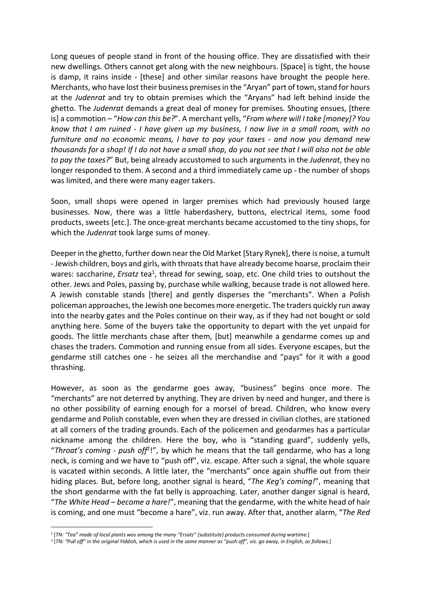Long queues of people stand in front of the housing office. They are dissatisfied with their new dwellings. Others cannot get along with the new neighbours. [Space] is tight, the house is damp, it rains inside - [these] and other similar reasons have brought the people here. Merchants, who have lost their business premises in the "Aryan" part of town, stand for hours at the Judenrat and try to obtain premises which the "Aryans" had left behind inside the ghetto. The Judenrat demands a great deal of money for premises. Shouting ensues, [there is] a commotion - "How can this be?". A merchant yells, "From where will I take [money]? You know that I am ruined - I have given up my business, I now live in a small room, with no furniture and no economic means, I have to pay your taxes - and now you demand new thousands for a shop! If I do not have a small shop, do you not see that I will also not be able to pay the taxes?" But, being already accustomed to such arguments in the Judenrat, they no longer responded to them. A second and a third immediately came up - the number of shops was limited, and there were many eager takers.

Soon, small shops were opened in larger premises which had previously housed large businesses. Now, there was a little haberdashery, buttons, electrical items, some food products, sweets [etc.]. The once-great merchants became accustomed to the tiny shops, for which the *Judenrat* took large sums of money.

Deeper in the ghetto, further down near the Old Market [Stary Rynek], there is noise, a tumult - Jewish children, boys and girls, with throats that have already become hoarse, proclaim their wares: saccharine, *Ersatz* tea<sup>1</sup>, thread for sewing, soap, etc. One child tries to outshout the other. Jews and Poles, passing by, purchase while walking, because trade is not allowed here. A Jewish constable stands [there] and gently disperses the "merchants". When a Polish policeman approaches, the Jewish one becomes more energetic. The traders quickly run away into the nearby gates and the Poles continue on their way, as if they had not bought or sold anything here. Some of the buyers take the opportunity to depart with the yet unpaid for goods. The little merchants chase after them, [but] meanwhile a gendarme comes up and chases the traders. Commotion and running ensue from all sides. Everyone escapes, but the gendarme still catches one - he seizes all the merchandise and "pays" for it with a good thrashing.

However, as soon as the gendarme goes away, "business" begins once more. The "merchants" are not deterred by anything. They are driven by need and hunger, and there is no other possibility of earning enough for a morsel of bread. Children, who know every gendarme and Polish constable, even when they are dressed in civilian clothes, are stationed at all corners of the trading grounds. Each of the policemen and gendarmes has a particular nickname among the children. Here the boy, who is "standing guard", suddenly yells, "Throat's coming - push off<sup>2</sup>!", by which he means that the tall gendarme, who has a long neck, is coming and we have to "push off", viz. escape. After such a signal, the whole square is vacated within seconds. A little later, the "merchants" once again shuffle out from their hiding places. But, before long, another signal is heard, "The Keg's coming!", meaning that the short gendarme with the fat belly is approaching. Later, another danger signal is heard, "The White Head – become a hare!", meaning that the gendarme, with the white head of hair is coming, and one must "become a hare", viz. run away. After that, another alarm, "The Red

<sup>1</sup> [TN: "Tea" made of local plants was among the many "Ersatz" (substitute) products consumed during wartime.]

<sup>2</sup> [TN: "Pull off" in the original Yiddish, which is used in the same manner as "push off", viz. go away, in English, as follows.]